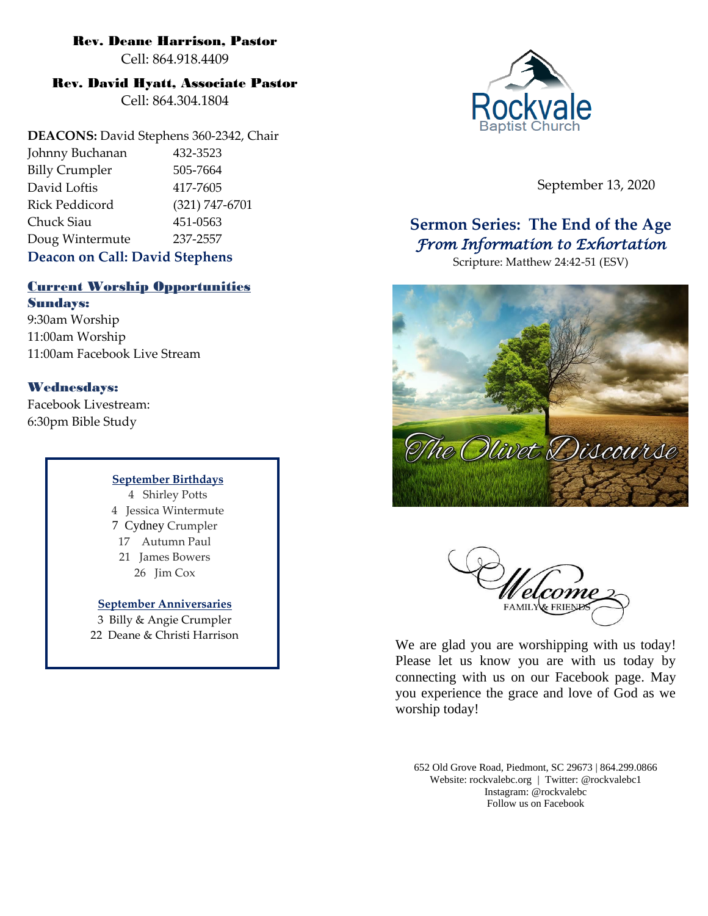# Rev. Deane Harrison, Pastor

Cell: 864.918.4409

# Rev. David Hyatt, Associate Pastor

Cell: 864.304.1804

**DEACONS:** David Stephens 360-2342, Chair Johnny Buchanan 432-3523 Billy Crumpler 505-7664 David Loftis 417-7605 Rick Peddicord (321) 747-6701 Chuck Siau 451-0563 Doug Wintermute 237-2557 **Deacon on Call: David Stephens**

# Current Worship Opportunities

Sundays: 9:30am Worship 11:00am Worship 11:00am Facebook Live Stream

# Wednesdays:

Facebook Livestream: 6:30pm Bible Study

#### **September Birthdays**

4 Shirley Potts 4 Jessica Wintermute 7 Cydney Crumpler 17 Autumn Paul 21 James Bowers 26 Jim Cox

# **September Anniversaries**

3 Billy & Angie Crumpler 22 Deane & Christi Harrison



September 13, 2020

# **Sermon Series: The End of the Age** *From Information to Exhortation*

Scripture: Matthew 24:42-51 (ESV)





We are glad you are worshipping with us today! Please let us know you are with us today by connecting with us on our Facebook page. May you experience the grace and love of God as we worship today!

652 Old Grove Road, Piedmont, SC 29673 | 864.299.0866 Website: rockvalebc.org *|* Twitter: @rockvalebc1 Instagram: @rockvalebc Follow us on Facebook